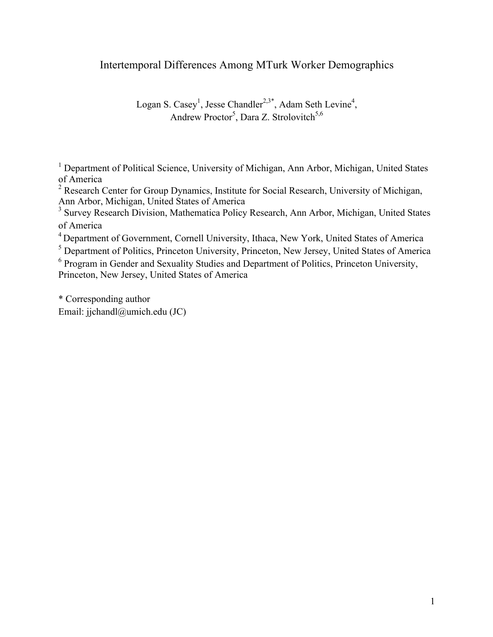## Intertemporal Differences Among MTurk Worker Demographics

Logan S. Casey<sup>1</sup>, Jesse Chandler<sup>2,3\*</sup>, Adam Seth Levine<sup>4</sup>, Andrew Proctor<sup>5</sup>, Dara Z. Strolovitch<sup>5,6</sup>

<sup>1</sup> Department of Political Science, University of Michigan, Ann Arbor, Michigan, United States of America

<sup>2</sup> Research Center for Group Dynamics, Institute for Social Research, University of Michigan, Ann Arbor, Michigan, United States of America

<sup>3</sup> Survey Research Division, Mathematica Policy Research, Ann Arbor, Michigan, United States of America

<sup>4</sup> Department of Government, Cornell University, Ithaca, New York, United States of America

<sup>5</sup> Department of Politics, Princeton University, Princeton, New Jersey, United States of America

<sup>6</sup> Program in Gender and Sexuality Studies and Department of Politics, Princeton University, Princeton, New Jersey, United States of America

\* Corresponding author Email: jjchandl@umich.edu (JC)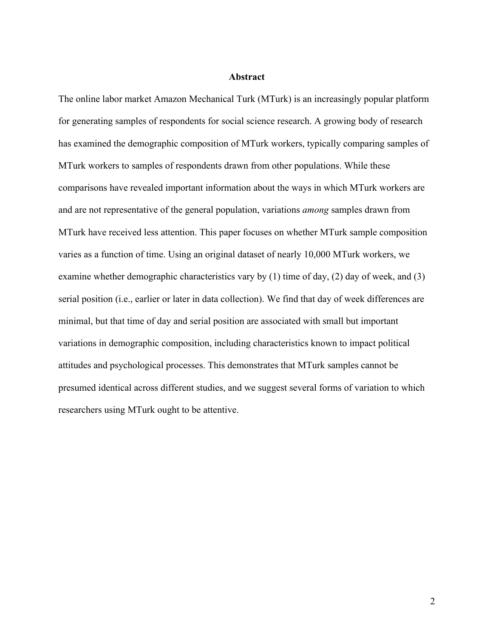#### **Abstract**

The online labor market Amazon Mechanical Turk (MTurk) is an increasingly popular platform for generating samples of respondents for social science research. A growing body of research has examined the demographic composition of MTurk workers, typically comparing samples of MTurk workers to samples of respondents drawn from other populations. While these comparisons have revealed important information about the ways in which MTurk workers are and are not representative of the general population, variations *among* samples drawn from MTurk have received less attention. This paper focuses on whether MTurk sample composition varies as a function of time. Using an original dataset of nearly 10,000 MTurk workers, we examine whether demographic characteristics vary by (1) time of day, (2) day of week, and (3) serial position (i.e., earlier or later in data collection). We find that day of week differences are minimal, but that time of day and serial position are associated with small but important variations in demographic composition, including characteristics known to impact political attitudes and psychological processes. This demonstrates that MTurk samples cannot be presumed identical across different studies, and we suggest several forms of variation to which researchers using MTurk ought to be attentive.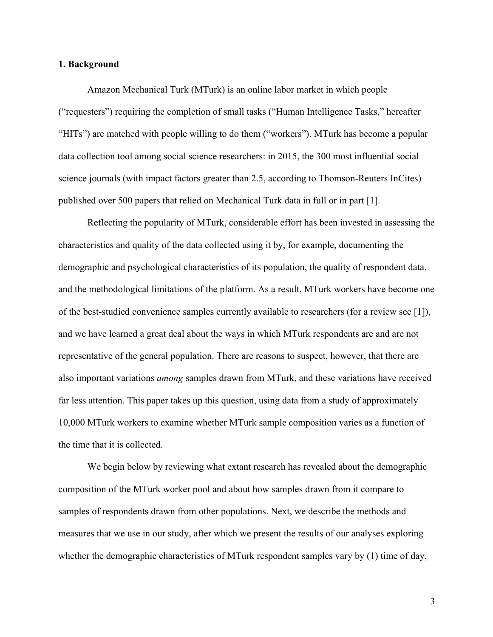#### **1. Background**

Amazon Mechanical Turk (MTurk) is an online labor market in which people ("requesters") requiring the completion of small tasks ("Human Intelligence Tasks," hereafter "HITs") are matched with people willing to do them ("workers"). MTurk has become a popular data collection tool among social science researchers: in 2015, the 300 most influential social science journals (with impact factors greater than 2.5, according to Thomson-Reuters InCites) published over 500 papers that relied on Mechanical Turk data in full or in part [1].

Reflecting the popularity of MTurk, considerable effort has been invested in assessing the characteristics and quality of the data collected using it by, for example, documenting the demographic and psychological characteristics of its population, the quality of respondent data, and the methodological limitations of the platform. As a result, MTurk workers have become one of the best-studied convenience samples currently available to researchers (for a review see [1]), and we have learned a great deal about the ways in which MTurk respondents are and are not representative of the general population. There are reasons to suspect, however, that there are also important variations *among* samples drawn from MTurk, and these variations have received far less attention. This paper takes up this question, using data from a study of approximately 10,000 MTurk workers to examine whether MTurk sample composition varies as a function of the time that it is collected.

We begin below by reviewing what extant research has revealed about the demographic composition of the MTurk worker pool and about how samples drawn from it compare to samples of respondents drawn from other populations. Next, we describe the methods and measures that we use in our study, after which we present the results of our analyses exploring whether the demographic characteristics of MTurk respondent samples vary by (1) time of day,

3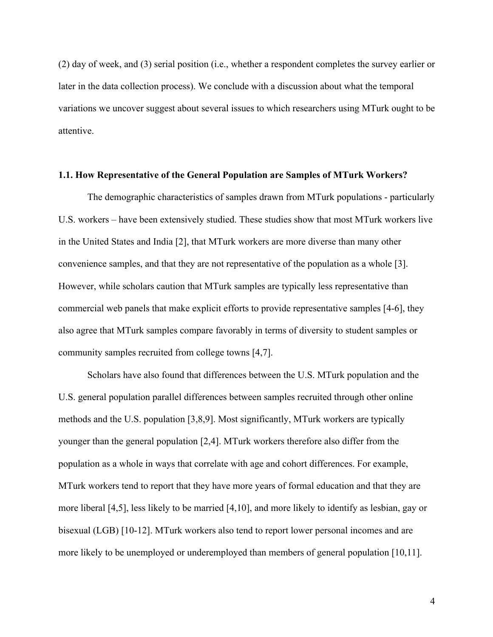(2) day of week, and (3) serial position (i.e., whether a respondent completes the survey earlier or later in the data collection process). We conclude with a discussion about what the temporal variations we uncover suggest about several issues to which researchers using MTurk ought to be attentive.

#### **1.1. How Representative of the General Population are Samples of MTurk Workers?**

The demographic characteristics of samples drawn from MTurk populations - particularly U.S. workers – have been extensively studied. These studies show that most MTurk workers live in the United States and India [2], that MTurk workers are more diverse than many other convenience samples, and that they are not representative of the population as a whole [3]. However, while scholars caution that MTurk samples are typically less representative than commercial web panels that make explicit efforts to provide representative samples [4-6], they also agree that MTurk samples compare favorably in terms of diversity to student samples or community samples recruited from college towns [4,7].

Scholars have also found that differences between the U.S. MTurk population and the U.S. general population parallel differences between samples recruited through other online methods and the U.S. population [3,8,9]. Most significantly, MTurk workers are typically younger than the general population [2,4]. MTurk workers therefore also differ from the population as a whole in ways that correlate with age and cohort differences. For example, MTurk workers tend to report that they have more years of formal education and that they are more liberal [4,5], less likely to be married [4,10], and more likely to identify as lesbian, gay or bisexual (LGB) [10-12]. MTurk workers also tend to report lower personal incomes and are more likely to be unemployed or underemployed than members of general population [10,11].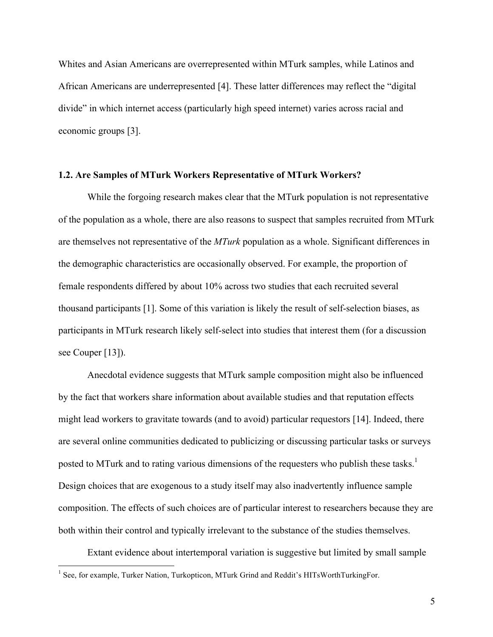Whites and Asian Americans are overrepresented within MTurk samples, while Latinos and African Americans are underrepresented [4]. These latter differences may reflect the "digital divide" in which internet access (particularly high speed internet) varies across racial and economic groups [3].

#### **1.2. Are Samples of MTurk Workers Representative of MTurk Workers?**

While the forgoing research makes clear that the MTurk population is not representative of the population as a whole, there are also reasons to suspect that samples recruited from MTurk are themselves not representative of the *MTurk* population as a whole. Significant differences in the demographic characteristics are occasionally observed. For example, the proportion of female respondents differed by about 10% across two studies that each recruited several thousand participants [1]. Some of this variation is likely the result of self-selection biases, as participants in MTurk research likely self-select into studies that interest them (for a discussion see Couper [13]).

Anecdotal evidence suggests that MTurk sample composition might also be influenced by the fact that workers share information about available studies and that reputation effects might lead workers to gravitate towards (and to avoid) particular requestors [14]. Indeed, there are several online communities dedicated to publicizing or discussing particular tasks or surveys posted to MTurk and to rating various dimensions of the requesters who publish these tasks.<sup>1</sup> Design choices that are exogenous to a study itself may also inadvertently influence sample composition. The effects of such choices are of particular interest to researchers because they are both within their control and typically irrelevant to the substance of the studies themselves.

Extant evidence about intertemporal variation is suggestive but limited by small sample

<sup>&</sup>lt;sup>1</sup> See, for example, Turker Nation, Turkopticon, MTurk Grind and Reddit's HITsWorthTurkingFor.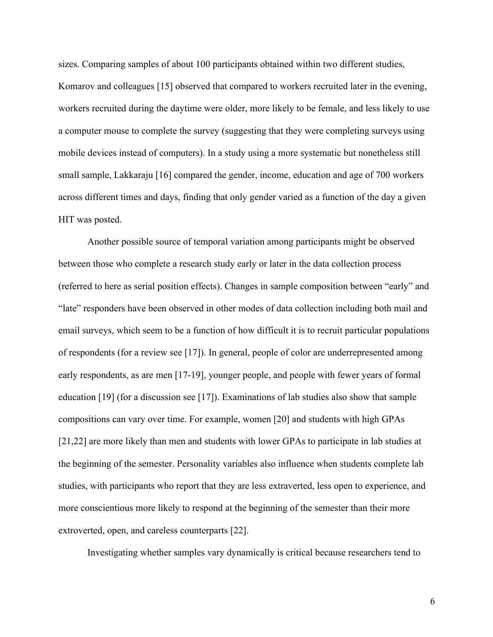sizes. Comparing samples of about 100 participants obtained within two different studies, Komarov and colleagues [15] observed that compared to workers recruited later in the evening, workers recruited during the daytime were older, more likely to be female, and less likely to use a computer mouse to complete the survey (suggesting that they were completing surveys using mobile devices instead of computers). In a study using a more systematic but nonetheless still small sample, Lakkaraju [16] compared the gender, income, education and age of 700 workers across different times and days, finding that only gender varied as a function of the day a given HIT was posted.

Another possible source of temporal variation among participants might be observed between those who complete a research study early or later in the data collection process (referred to here as serial position effects). Changes in sample composition between "early" and "late" responders have been observed in other modes of data collection including both mail and email surveys, which seem to be a function of how difficult it is to recruit particular populations of respondents (for a review see [17]). In general, people of color are underrepresented among early respondents, as are men [17-19], younger people, and people with fewer years of formal education [19] (for a discussion see [17]). Examinations of lab studies also show that sample compositions can vary over time. For example, women [20] and students with high GPAs [21,22] are more likely than men and students with lower GPAs to participate in lab studies at the beginning of the semester. Personality variables also influence when students complete lab studies, with participants who report that they are less extraverted, less open to experience, and more conscientious more likely to respond at the beginning of the semester than their more extroverted, open, and careless counterparts [22].

Investigating whether samples vary dynamically is critical because researchers tend to

6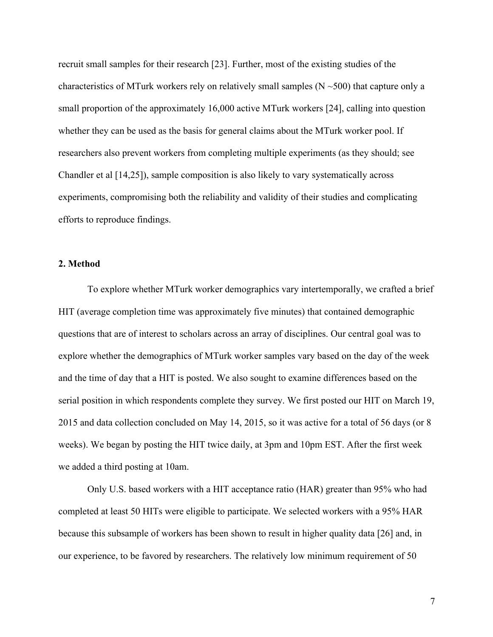recruit small samples for their research [23]. Further, most of the existing studies of the characteristics of MTurk workers rely on relatively small samples ( $N \sim 500$ ) that capture only a small proportion of the approximately 16,000 active MTurk workers [24], calling into question whether they can be used as the basis for general claims about the MTurk worker pool. If researchers also prevent workers from completing multiple experiments (as they should; see Chandler et al [14,25]), sample composition is also likely to vary systematically across experiments, compromising both the reliability and validity of their studies and complicating efforts to reproduce findings.

#### **2. Method**

To explore whether MTurk worker demographics vary intertemporally, we crafted a brief HIT (average completion time was approximately five minutes) that contained demographic questions that are of interest to scholars across an array of disciplines. Our central goal was to explore whether the demographics of MTurk worker samples vary based on the day of the week and the time of day that a HIT is posted. We also sought to examine differences based on the serial position in which respondents complete they survey. We first posted our HIT on March 19, 2015 and data collection concluded on May 14, 2015, so it was active for a total of 56 days (or 8 weeks). We began by posting the HIT twice daily, at 3pm and 10pm EST. After the first week we added a third posting at 10am.

Only U.S. based workers with a HIT acceptance ratio (HAR) greater than 95% who had completed at least 50 HITs were eligible to participate. We selected workers with a 95% HAR because this subsample of workers has been shown to result in higher quality data [26] and, in our experience, to be favored by researchers. The relatively low minimum requirement of 50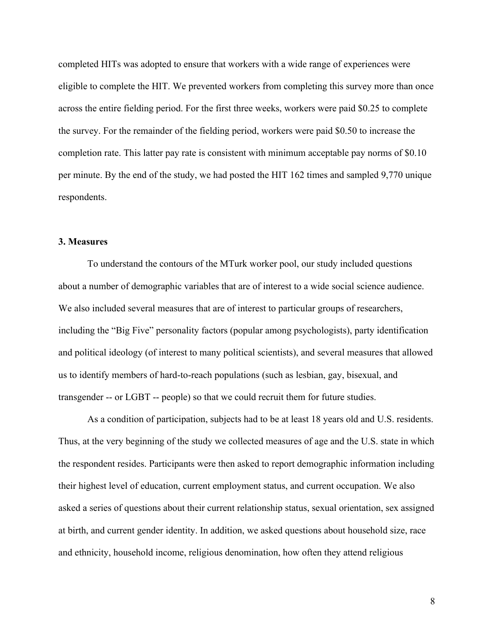completed HITs was adopted to ensure that workers with a wide range of experiences were eligible to complete the HIT. We prevented workers from completing this survey more than once across the entire fielding period. For the first three weeks, workers were paid \$0.25 to complete the survey. For the remainder of the fielding period, workers were paid \$0.50 to increase the completion rate. This latter pay rate is consistent with minimum acceptable pay norms of \$0.10 per minute. By the end of the study, we had posted the HIT 162 times and sampled 9,770 unique respondents.

#### **3. Measures**

To understand the contours of the MTurk worker pool, our study included questions about a number of demographic variables that are of interest to a wide social science audience. We also included several measures that are of interest to particular groups of researchers, including the "Big Five" personality factors (popular among psychologists), party identification and political ideology (of interest to many political scientists), and several measures that allowed us to identify members of hard-to-reach populations (such as lesbian, gay, bisexual, and transgender -- or LGBT -- people) so that we could recruit them for future studies.

As a condition of participation, subjects had to be at least 18 years old and U.S. residents. Thus, at the very beginning of the study we collected measures of age and the U.S. state in which the respondent resides. Participants were then asked to report demographic information including their highest level of education, current employment status, and current occupation. We also asked a series of questions about their current relationship status, sexual orientation, sex assigned at birth, and current gender identity. In addition, we asked questions about household size, race and ethnicity, household income, religious denomination, how often they attend religious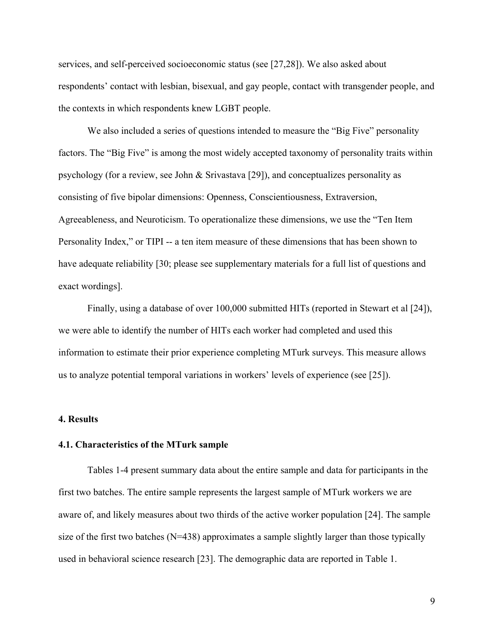services, and self-perceived socioeconomic status (see [27,28]). We also asked about respondents' contact with lesbian, bisexual, and gay people, contact with transgender people, and the contexts in which respondents knew LGBT people.

We also included a series of questions intended to measure the "Big Five" personality factors. The "Big Five" is among the most widely accepted taxonomy of personality traits within psychology (for a review, see John & Srivastava [29]), and conceptualizes personality as consisting of five bipolar dimensions: Openness, Conscientiousness, Extraversion, Agreeableness, and Neuroticism. To operationalize these dimensions, we use the "Ten Item Personality Index," or TIPI -- a ten item measure of these dimensions that has been shown to have adequate reliability [30; please see supplementary materials for a full list of questions and exact wordings].

Finally, using a database of over 100,000 submitted HITs (reported in Stewart et al [24]), we were able to identify the number of HITs each worker had completed and used this information to estimate their prior experience completing MTurk surveys. This measure allows us to analyze potential temporal variations in workers' levels of experience (see [25]).

#### **4. Results**

#### **4.1. Characteristics of the MTurk sample**

Tables 1-4 present summary data about the entire sample and data for participants in the first two batches. The entire sample represents the largest sample of MTurk workers we are aware of, and likely measures about two thirds of the active worker population [24]. The sample size of the first two batches  $(N=438)$  approximates a sample slightly larger than those typically used in behavioral science research [23]. The demographic data are reported in Table 1.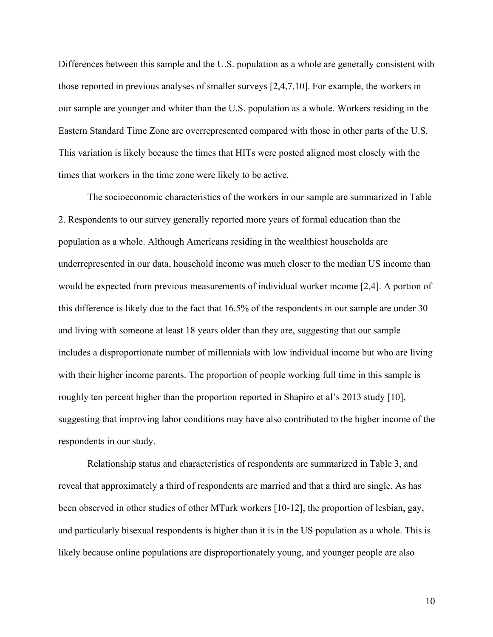Differences between this sample and the U.S. population as a whole are generally consistent with those reported in previous analyses of smaller surveys [2,4,7,10]. For example, the workers in our sample are younger and whiter than the U.S. population as a whole. Workers residing in the Eastern Standard Time Zone are overrepresented compared with those in other parts of the U.S. This variation is likely because the times that HITs were posted aligned most closely with the times that workers in the time zone were likely to be active.

The socioeconomic characteristics of the workers in our sample are summarized in Table 2. Respondents to our survey generally reported more years of formal education than the population as a whole. Although Americans residing in the wealthiest households are underrepresented in our data, household income was much closer to the median US income than would be expected from previous measurements of individual worker income [2,4]. A portion of this difference is likely due to the fact that 16.5% of the respondents in our sample are under 30 and living with someone at least 18 years older than they are, suggesting that our sample includes a disproportionate number of millennials with low individual income but who are living with their higher income parents. The proportion of people working full time in this sample is roughly ten percent higher than the proportion reported in Shapiro et al's 2013 study [10], suggesting that improving labor conditions may have also contributed to the higher income of the respondents in our study.

Relationship status and characteristics of respondents are summarized in Table 3, and reveal that approximately a third of respondents are married and that a third are single. As has been observed in other studies of other MTurk workers [10-12], the proportion of lesbian, gay, and particularly bisexual respondents is higher than it is in the US population as a whole. This is likely because online populations are disproportionately young, and younger people are also

10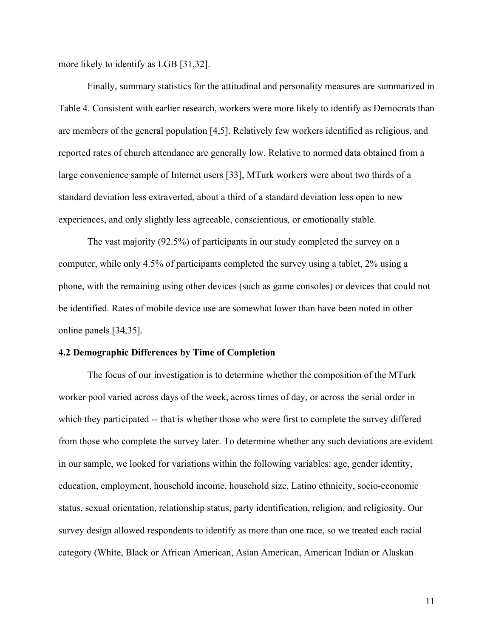more likely to identify as LGB [31,32].

Finally, summary statistics for the attitudinal and personality measures are summarized in Table 4. Consistent with earlier research, workers were more likely to identify as Democrats than are members of the general population [4,5]. Relatively few workers identified as religious, and reported rates of church attendance are generally low. Relative to normed data obtained from a large convenience sample of Internet users [33], MTurk workers were about two thirds of a standard deviation less extraverted, about a third of a standard deviation less open to new experiences, and only slightly less agreeable, conscientious, or emotionally stable.

The vast majority (92.5%) of participants in our study completed the survey on a computer, while only 4.5% of participants completed the survey using a tablet, 2% using a phone, with the remaining using other devices (such as game consoles) or devices that could not be identified. Rates of mobile device use are somewhat lower than have been noted in other online panels [34,35].

#### **4.2 Demographic Differences by Time of Completion**

The focus of our investigation is to determine whether the composition of the MTurk worker pool varied across days of the week, across times of day, or across the serial order in which they participated -- that is whether those who were first to complete the survey differed from those who complete the survey later. To determine whether any such deviations are evident in our sample, we looked for variations within the following variables: age, gender identity, education, employment, household income, household size, Latino ethnicity, socio-economic status, sexual orientation, relationship status, party identification, religion, and religiosity. Our survey design allowed respondents to identify as more than one race, so we treated each racial category (White, Black or African American, Asian American, American Indian or Alaskan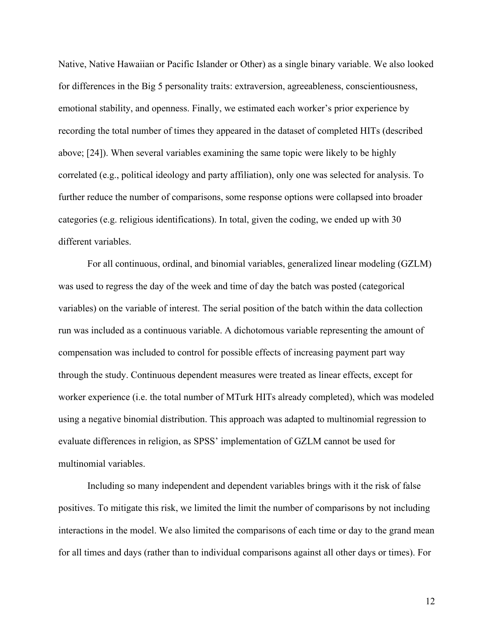Native, Native Hawaiian or Pacific Islander or Other) as a single binary variable. We also looked for differences in the Big 5 personality traits: extraversion, agreeableness, conscientiousness, emotional stability, and openness. Finally, we estimated each worker's prior experience by recording the total number of times they appeared in the dataset of completed HITs (described above; [24]). When several variables examining the same topic were likely to be highly correlated (e.g., political ideology and party affiliation), only one was selected for analysis. To further reduce the number of comparisons, some response options were collapsed into broader categories (e.g. religious identifications). In total, given the coding, we ended up with 30 different variables.

For all continuous, ordinal, and binomial variables, generalized linear modeling (GZLM) was used to regress the day of the week and time of day the batch was posted (categorical variables) on the variable of interest. The serial position of the batch within the data collection run was included as a continuous variable. A dichotomous variable representing the amount of compensation was included to control for possible effects of increasing payment part way through the study. Continuous dependent measures were treated as linear effects, except for worker experience (i.e. the total number of MTurk HITs already completed), which was modeled using a negative binomial distribution. This approach was adapted to multinomial regression to evaluate differences in religion, as SPSS' implementation of GZLM cannot be used for multinomial variables.

Including so many independent and dependent variables brings with it the risk of false positives. To mitigate this risk, we limited the limit the number of comparisons by not including interactions in the model. We also limited the comparisons of each time or day to the grand mean for all times and days (rather than to individual comparisons against all other days or times). For

12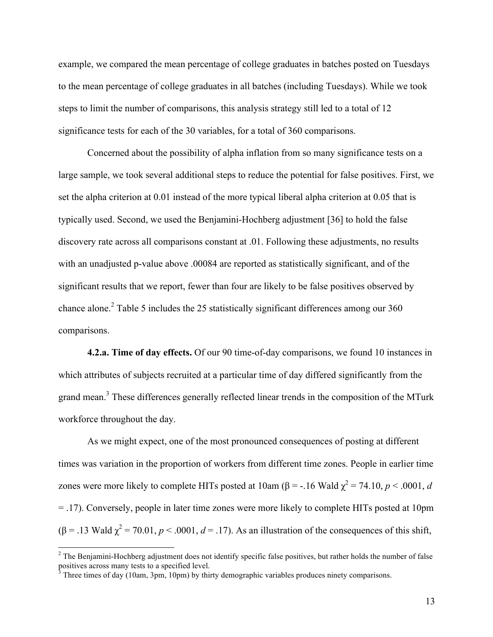example, we compared the mean percentage of college graduates in batches posted on Tuesdays to the mean percentage of college graduates in all batches (including Tuesdays). While we took steps to limit the number of comparisons, this analysis strategy still led to a total of 12 significance tests for each of the 30 variables, for a total of 360 comparisons.

Concerned about the possibility of alpha inflation from so many significance tests on a large sample, we took several additional steps to reduce the potential for false positives. First, we set the alpha criterion at 0.01 instead of the more typical liberal alpha criterion at 0.05 that is typically used. Second, we used the Benjamini-Hochberg adjustment [36] to hold the false discovery rate across all comparisons constant at .01. Following these adjustments, no results with an unadjusted p-value above .00084 are reported as statistically significant, and of the significant results that we report, fewer than four are likely to be false positives observed by chance alone.<sup>2</sup> Table 5 includes the 25 statistically significant differences among our 360 comparisons.

**4.2.a. Time of day effects.** Of our 90 time-of-day comparisons, we found 10 instances in which attributes of subjects recruited at a particular time of day differed significantly from the grand mean.<sup>3</sup> These differences generally reflected linear trends in the composition of the MTurk workforce throughout the day.

As we might expect, one of the most pronounced consequences of posting at different times was variation in the proportion of workers from different time zones. People in earlier time zones were more likely to complete HITs posted at  $10 \text{am } (\beta = -16 \text{ Wald } \chi^2 = 74.10, p < .0001, d$ = .17). Conversely, people in later time zones were more likely to complete HITs posted at 10pm  $(\beta = .13 \text{ Wald } \chi^2 = 70.01, p < .0001, d = .17)$ . As an illustration of the consequences of this shift,

 $2$  The Benjamini-Hochberg adjustment does not identify specific false positives, but rather holds the number of false positives across many tests to a specified level.

Three times of day (10am, 3pm, 10pm) by thirty demographic variables produces ninety comparisons.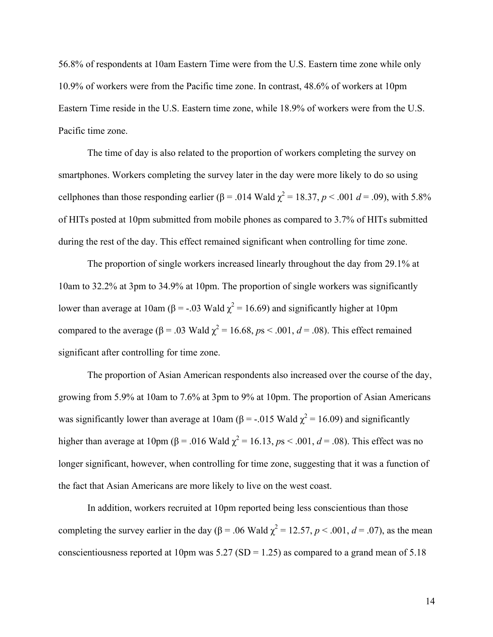56.8% of respondents at 10am Eastern Time were from the U.S. Eastern time zone while only 10.9% of workers were from the Pacific time zone. In contrast, 48.6% of workers at 10pm Eastern Time reside in the U.S. Eastern time zone, while 18.9% of workers were from the U.S. Pacific time zone.

The time of day is also related to the proportion of workers completing the survey on smartphones. Workers completing the survey later in the day were more likely to do so using cellphones than those responding earlier ( $\beta$  = .014 Wald  $\chi^2$  = 18.37, *p* < .001 *d* = .09), with 5.8% of HITs posted at 10pm submitted from mobile phones as compared to 3.7% of HITs submitted during the rest of the day. This effect remained significant when controlling for time zone.

The proportion of single workers increased linearly throughout the day from 29.1% at 10am to 32.2% at 3pm to 34.9% at 10pm. The proportion of single workers was significantly lower than average at 10am (β = -.03 Wald  $\chi^2$  = 16.69) and significantly higher at 10pm compared to the average ( $β = .03$  Wald  $χ² = 16.68$ ,  $ps < .001$ ,  $d = .08$ ). This effect remained significant after controlling for time zone.

The proportion of Asian American respondents also increased over the course of the day, growing from 5.9% at 10am to 7.6% at 3pm to 9% at 10pm. The proportion of Asian Americans was significantly lower than average at 10am ( $\beta$  = -.015 Wald  $\chi^2$  = 16.09) and significantly higher than average at 10pm ( $\beta$  = .016 Wald  $\chi^2$  = 16.13, *ps* < .001, *d* = .08). This effect was no longer significant, however, when controlling for time zone, suggesting that it was a function of the fact that Asian Americans are more likely to live on the west coast.

In addition, workers recruited at 10pm reported being less conscientious than those completing the survey earlier in the day ( $\beta$  = .06 Wald  $\chi^2$  = 12.57, *p* < .001, *d* = .07), as the mean conscientiousness reported at 10pm was  $5.27$  (SD = 1.25) as compared to a grand mean of  $5.18$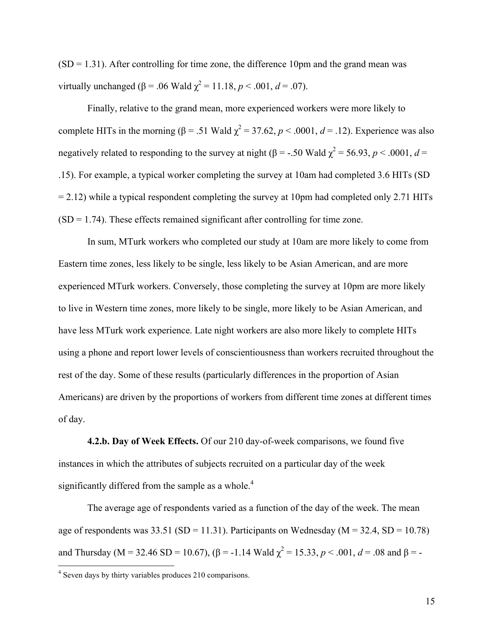$(SD = 1.31)$ . After controlling for time zone, the difference 10pm and the grand mean was virtually unchanged ( $\beta$  = .06 Wald  $\chi^2$  = 11.18, *p* < .001, *d* = .07).

Finally, relative to the grand mean, more experienced workers were more likely to complete HITs in the morning ( $\beta$  = .51 Wald  $\chi^2$  = 37.62, *p* < .0001, *d* = .12). Experience was also negatively related to responding to the survey at night ( $\beta$  = -.50 Wald  $\chi^2$  = 56.93, *p* < .0001, *d* = .15). For example, a typical worker completing the survey at 10am had completed 3.6 HITs (SD  $= 2.12$ ) while a typical respondent completing the survey at 10pm had completed only 2.71 HITs  $(SD = 1.74)$ . These effects remained significant after controlling for time zone.

In sum, MTurk workers who completed our study at 10am are more likely to come from Eastern time zones, less likely to be single, less likely to be Asian American, and are more experienced MTurk workers. Conversely, those completing the survey at 10pm are more likely to live in Western time zones, more likely to be single, more likely to be Asian American, and have less MTurk work experience. Late night workers are also more likely to complete HITs using a phone and report lower levels of conscientiousness than workers recruited throughout the rest of the day. Some of these results (particularly differences in the proportion of Asian Americans) are driven by the proportions of workers from different time zones at different times of day.

**4.2.b. Day of Week Effects.** Of our 210 day-of-week comparisons, we found five instances in which the attributes of subjects recruited on a particular day of the week significantly differed from the sample as a whole.<sup>4</sup>

The average age of respondents varied as a function of the day of the week. The mean age of respondents was  $33.51$  (SD = 11.31). Participants on Wednesday (M = 32.4, SD = 10.78) and Thursday (M = 32.46 SD = 10.67), ( $\beta$  = -1.14 Wald  $\chi^2$  = 15.33,  $p < .001$ ,  $d = .08$  and  $\beta$  = -

<sup>4</sup> Seven days by thirty variables produces 210 comparisons.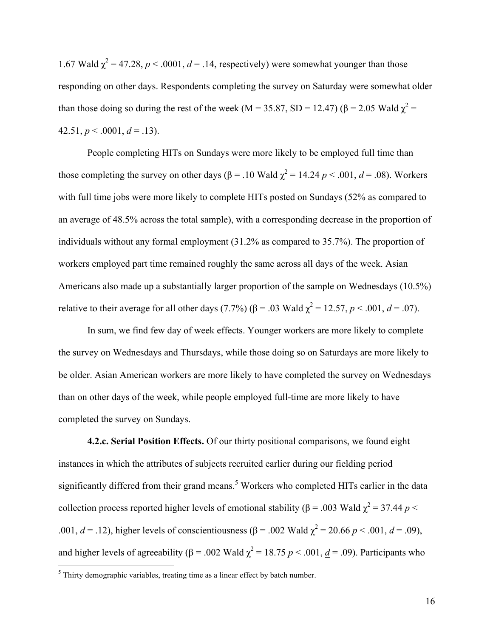1.67 Wald  $\chi^2$  = 47.28, *p* < .0001, *d* = .14, respectively) were somewhat younger than those responding on other days. Respondents completing the survey on Saturday were somewhat older than those doing so during the rest of the week (M = 35.87, SD = 12.47) ( $\beta$  = 2.05 Wald  $\chi^2$  = 42.51,  $p < .0001$ ,  $d = .13$ ).

People completing HITs on Sundays were more likely to be employed full time than those completing the survey on other days ( $\beta$  = .10 Wald  $\chi^2$  = 14.24 *p* < .001, *d* = .08). Workers with full time jobs were more likely to complete HITs posted on Sundays (52% as compared to an average of 48.5% across the total sample), with a corresponding decrease in the proportion of individuals without any formal employment (31.2% as compared to 35.7%). The proportion of workers employed part time remained roughly the same across all days of the week. Asian Americans also made up a substantially larger proportion of the sample on Wednesdays (10.5%) relative to their average for all other days (7.7%) (β = .03 Wald  $\chi^2$  = 12.57, *p* < .001, *d* = .07).

In sum, we find few day of week effects. Younger workers are more likely to complete the survey on Wednesdays and Thursdays, while those doing so on Saturdays are more likely to be older. Asian American workers are more likely to have completed the survey on Wednesdays than on other days of the week, while people employed full-time are more likely to have completed the survey on Sundays.

**4.2.c. Serial Position Effects.** Of our thirty positional comparisons, we found eight instances in which the attributes of subjects recruited earlier during our fielding period significantly differed from their grand means.<sup>5</sup> Workers who completed HITs earlier in the data collection process reported higher levels of emotional stability ( $\beta$  = .003 Wald  $\chi^2$  = 37.44 *p* < .001,  $d = .12$ ), higher levels of conscientiousness (β = .002 Wald  $\chi^2$  = 20.66 *p* < .001,  $d = .09$ ), and higher levels of agreeability ( $\beta$  = .002 Wald  $\chi^2$  = 18.75 *p* < .001, <u>*d*</u> = .09). Participants who

 $<sup>5</sup>$  Thirty demographic variables, treating time as a linear effect by batch number.</sup>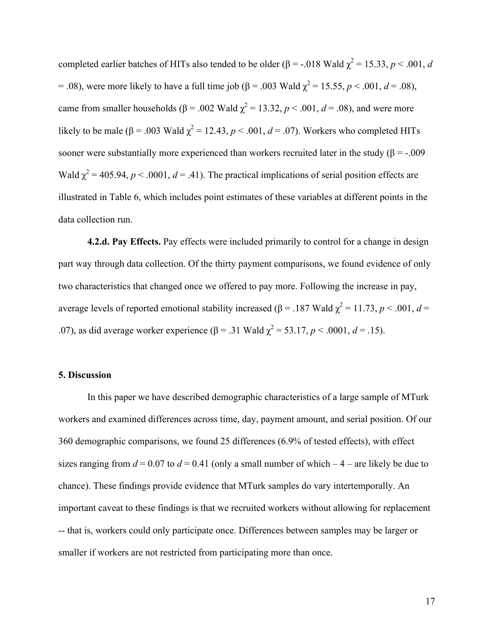completed earlier batches of HITs also tended to be older (β = -.018 Wald  $\chi^2$  = 15.33, *p* < .001, *d* = .08), were more likely to have a full time job (β = .003 Wald  $\chi^2$  = 15.55, *p* < .001, *d* = .08), came from smaller households ( $\beta$  = .002 Wald  $\chi^2$  = 13.32,  $p$  < .001,  $d$  = .08), and were more likely to be male ( $\beta$  = .003 Wald  $\chi^2$  = 12.43, *p* < .001, *d* = .07). Workers who completed HITs sooner were substantially more experienced than workers recruited later in the study ( $\beta$  = -.009 Wald  $\chi^2$  = 405.94, *p* < .0001, *d* = .41). The practical implications of serial position effects are illustrated in Table 6, which includes point estimates of these variables at different points in the data collection run.

**4.2.d. Pay Effects.** Pay effects were included primarily to control for a change in design part way through data collection. Of the thirty payment comparisons, we found evidence of only two characteristics that changed once we offered to pay more. Following the increase in pay, average levels of reported emotional stability increased ( $\beta$  = .187 Wald  $\chi^2$  = 11.73, *p* < .001, *d* = .07), as did average worker experience (β = .31 Wald  $\chi^2$  = 53.17, *p* < .0001, *d* = .15).

#### **5. Discussion**

In this paper we have described demographic characteristics of a large sample of MTurk workers and examined differences across time, day, payment amount, and serial position. Of our 360 demographic comparisons, we found 25 differences (6.9% of tested effects), with effect sizes ranging from  $d = 0.07$  to  $d = 0.41$  (only a small number of which  $-4$  – are likely be due to chance). These findings provide evidence that MTurk samples do vary intertemporally. An important caveat to these findings is that we recruited workers without allowing for replacement -- that is, workers could only participate once. Differences between samples may be larger or smaller if workers are not restricted from participating more than once.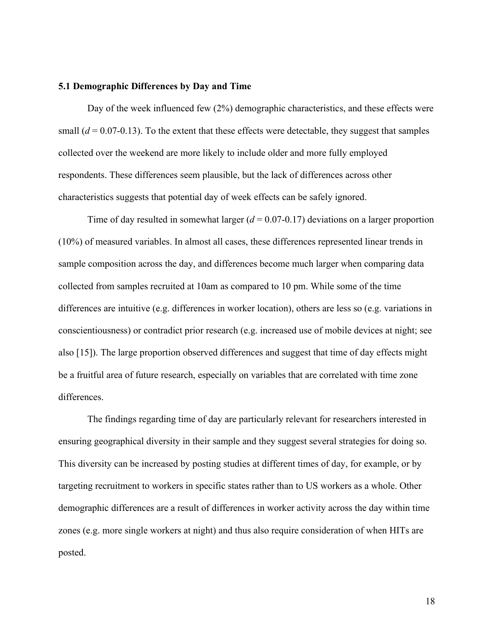#### **5.1 Demographic Differences by Day and Time**

Day of the week influenced few (2%) demographic characteristics, and these effects were small  $(d = 0.07-0.13)$ . To the extent that these effects were detectable, they suggest that samples collected over the weekend are more likely to include older and more fully employed respondents. These differences seem plausible, but the lack of differences across other characteristics suggests that potential day of week effects can be safely ignored.

Time of day resulted in somewhat larger (*d* = 0.07-0.17) deviations on a larger proportion (10%) of measured variables. In almost all cases, these differences represented linear trends in sample composition across the day, and differences become much larger when comparing data collected from samples recruited at 10am as compared to 10 pm. While some of the time differences are intuitive (e.g. differences in worker location), others are less so (e.g. variations in conscientiousness) or contradict prior research (e.g. increased use of mobile devices at night; see also [15]). The large proportion observed differences and suggest that time of day effects might be a fruitful area of future research, especially on variables that are correlated with time zone differences.

The findings regarding time of day are particularly relevant for researchers interested in ensuring geographical diversity in their sample and they suggest several strategies for doing so. This diversity can be increased by posting studies at different times of day, for example, or by targeting recruitment to workers in specific states rather than to US workers as a whole. Other demographic differences are a result of differences in worker activity across the day within time zones (e.g. more single workers at night) and thus also require consideration of when HITs are posted.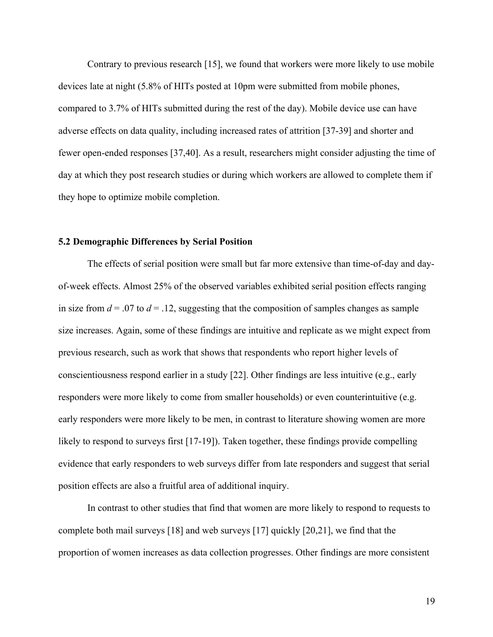Contrary to previous research [15], we found that workers were more likely to use mobile devices late at night (5.8% of HITs posted at 10pm were submitted from mobile phones, compared to 3.7% of HITs submitted during the rest of the day). Mobile device use can have adverse effects on data quality, including increased rates of attrition [37-39] and shorter and fewer open-ended responses [37,40]. As a result, researchers might consider adjusting the time of day at which they post research studies or during which workers are allowed to complete them if they hope to optimize mobile completion.

#### **5.2 Demographic Differences by Serial Position**

The effects of serial position were small but far more extensive than time-of-day and dayof-week effects. Almost 25% of the observed variables exhibited serial position effects ranging in size from  $d = 0.07$  to  $d = 0.12$ , suggesting that the composition of samples changes as sample size increases. Again, some of these findings are intuitive and replicate as we might expect from previous research, such as work that shows that respondents who report higher levels of conscientiousness respond earlier in a study [22]. Other findings are less intuitive (e.g., early responders were more likely to come from smaller households) or even counterintuitive (e.g. early responders were more likely to be men, in contrast to literature showing women are more likely to respond to surveys first [17-19]). Taken together, these findings provide compelling evidence that early responders to web surveys differ from late responders and suggest that serial position effects are also a fruitful area of additional inquiry.

In contrast to other studies that find that women are more likely to respond to requests to complete both mail surveys [18] and web surveys [17] quickly [20,21], we find that the proportion of women increases as data collection progresses. Other findings are more consistent

19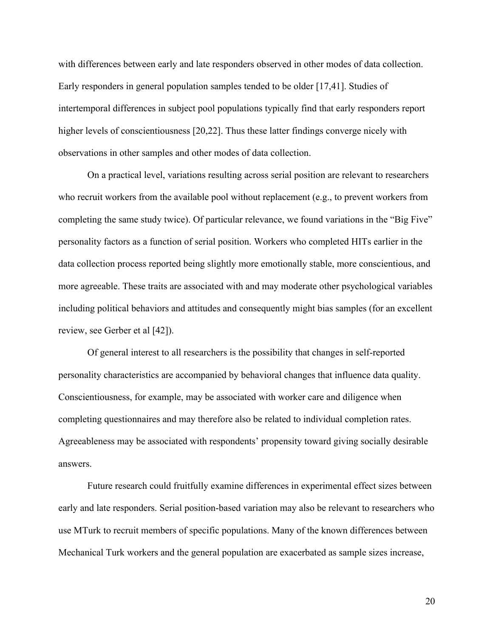with differences between early and late responders observed in other modes of data collection. Early responders in general population samples tended to be older [17,41]. Studies of intertemporal differences in subject pool populations typically find that early responders report higher levels of conscientiousness [20,22]. Thus these latter findings converge nicely with observations in other samples and other modes of data collection.

On a practical level, variations resulting across serial position are relevant to researchers who recruit workers from the available pool without replacement (e.g., to prevent workers from completing the same study twice). Of particular relevance, we found variations in the "Big Five" personality factors as a function of serial position. Workers who completed HITs earlier in the data collection process reported being slightly more emotionally stable, more conscientious, and more agreeable. These traits are associated with and may moderate other psychological variables including political behaviors and attitudes and consequently might bias samples (for an excellent review, see Gerber et al [42]).

Of general interest to all researchers is the possibility that changes in self-reported personality characteristics are accompanied by behavioral changes that influence data quality. Conscientiousness, for example, may be associated with worker care and diligence when completing questionnaires and may therefore also be related to individual completion rates. Agreeableness may be associated with respondents' propensity toward giving socially desirable answers.

Future research could fruitfully examine differences in experimental effect sizes between early and late responders. Serial position-based variation may also be relevant to researchers who use MTurk to recruit members of specific populations. Many of the known differences between Mechanical Turk workers and the general population are exacerbated as sample sizes increase,

20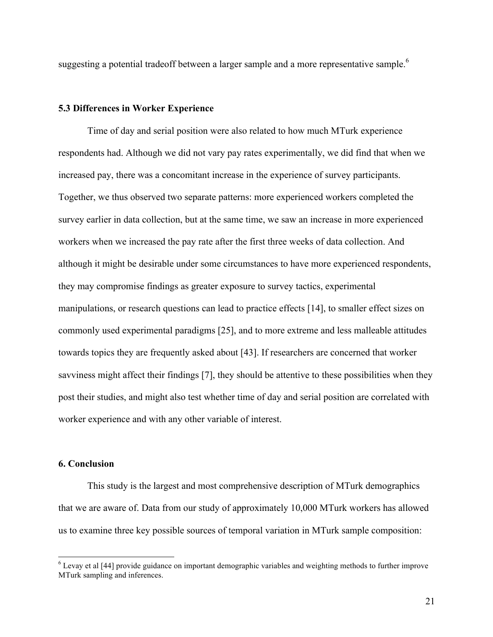suggesting a potential tradeoff between a larger sample and a more representative sample.<sup>6</sup>

#### **5.3 Differences in Worker Experience**

Time of day and serial position were also related to how much MTurk experience respondents had. Although we did not vary pay rates experimentally, we did find that when we increased pay, there was a concomitant increase in the experience of survey participants. Together, we thus observed two separate patterns: more experienced workers completed the survey earlier in data collection, but at the same time, we saw an increase in more experienced workers when we increased the pay rate after the first three weeks of data collection. And although it might be desirable under some circumstances to have more experienced respondents, they may compromise findings as greater exposure to survey tactics, experimental manipulations, or research questions can lead to practice effects [14], to smaller effect sizes on commonly used experimental paradigms [25], and to more extreme and less malleable attitudes towards topics they are frequently asked about [43]. If researchers are concerned that worker savviness might affect their findings [7], they should be attentive to these possibilities when they post their studies, and might also test whether time of day and serial position are correlated with worker experience and with any other variable of interest.

#### **6. Conclusion**

This study is the largest and most comprehensive description of MTurk demographics that we are aware of. Data from our study of approximately 10,000 MTurk workers has allowed us to examine three key possible sources of temporal variation in MTurk sample composition:

<sup>&</sup>lt;sup>6</sup> Levay et al [44] provide guidance on important demographic variables and weighting methods to further improve MTurk sampling and inferences.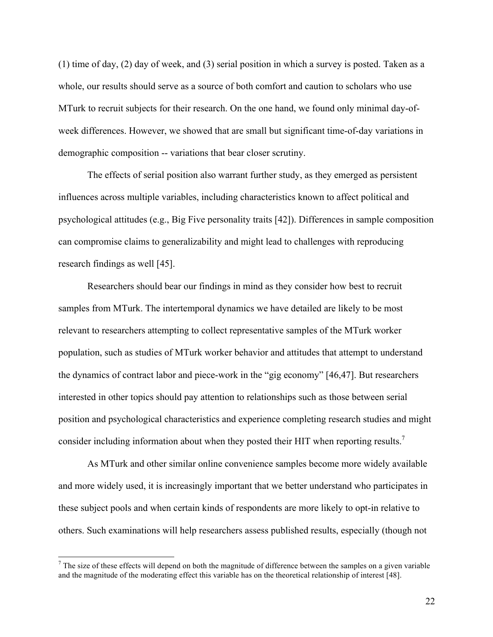(1) time of day, (2) day of week, and (3) serial position in which a survey is posted. Taken as a whole, our results should serve as a source of both comfort and caution to scholars who use MTurk to recruit subjects for their research. On the one hand, we found only minimal day-ofweek differences. However, we showed that are small but significant time-of-day variations in demographic composition -- variations that bear closer scrutiny.

The effects of serial position also warrant further study, as they emerged as persistent influences across multiple variables, including characteristics known to affect political and psychological attitudes (e.g., Big Five personality traits [42]). Differences in sample composition can compromise claims to generalizability and might lead to challenges with reproducing research findings as well [45].

Researchers should bear our findings in mind as they consider how best to recruit samples from MTurk. The intertemporal dynamics we have detailed are likely to be most relevant to researchers attempting to collect representative samples of the MTurk worker population, such as studies of MTurk worker behavior and attitudes that attempt to understand the dynamics of contract labor and piece-work in the "gig economy" [46,47]. But researchers interested in other topics should pay attention to relationships such as those between serial position and psychological characteristics and experience completing research studies and might consider including information about when they posted their HIT when reporting results.<sup>7</sup>

As MTurk and other similar online convenience samples become more widely available and more widely used, it is increasingly important that we better understand who participates in these subject pools and when certain kinds of respondents are more likely to opt-in relative to others. Such examinations will help researchers assess published results, especially (though not

 $<sup>7</sup>$  The size of these effects will depend on both the magnitude of difference between the samples on a given variable</sup> and the magnitude of the moderating effect this variable has on the theoretical relationship of interest [48].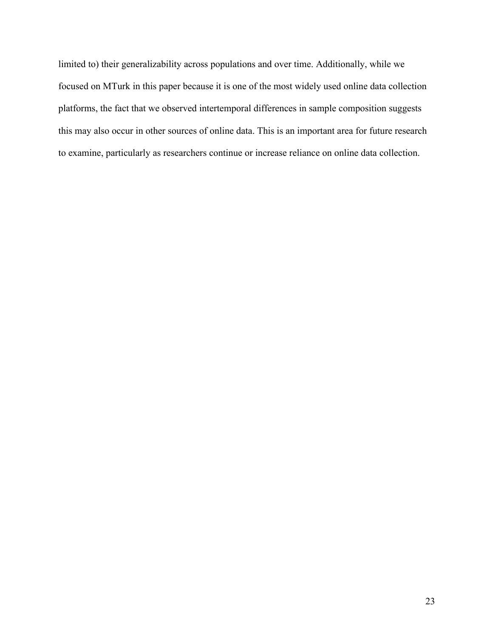limited to) their generalizability across populations and over time. Additionally, while we focused on MTurk in this paper because it is one of the most widely used online data collection platforms, the fact that we observed intertemporal differences in sample composition suggests this may also occur in other sources of online data. This is an important area for future research to examine, particularly as researchers continue or increase reliance on online data collection.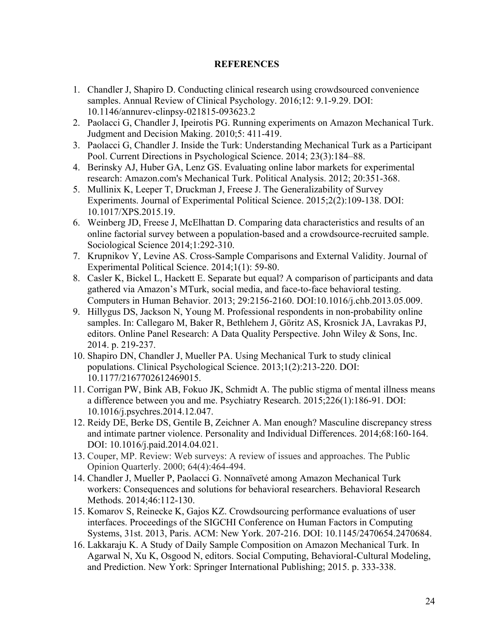### **REFERENCES**

- 1. Chandler J, Shapiro D. Conducting clinical research using crowdsourced convenience samples. Annual Review of Clinical Psychology. 2016;12: 9.1-9.29. DOI: 10.1146/annurev-clinpsy-021815-093623.2
- 2. Paolacci G, Chandler J, Ipeirotis PG. Running experiments on Amazon Mechanical Turk. Judgment and Decision Making. 2010;5: 411-419.
- 3. Paolacci G, Chandler J. Inside the Turk: Understanding Mechanical Turk as a Participant Pool. Current Directions in Psychological Science. 2014; 23(3):184–88.
- 4. Berinsky AJ, Huber GA, Lenz GS. Evaluating online labor markets for experimental research: Amazon.com's Mechanical Turk. Political Analysis. 2012; 20:351-368.
- 5. Mullinix K, Leeper T, Druckman J, Freese J. The Generalizability of Survey Experiments. Journal of Experimental Political Science. 2015;2(2):109-138. DOI: 10.1017/XPS.2015.19.
- 6. Weinberg JD, Freese J, McElhattan D. Comparing data characteristics and results of an online factorial survey between a population-based and a crowdsource-recruited sample. Sociological Science 2014;1:292-310.
- 7. Krupnikov Y, Levine AS. Cross-Sample Comparisons and External Validity. Journal of Experimental Political Science. 2014;1(1): 59-80.
- 8. Casler K, Bickel L, Hackett E. Separate but equal? A comparison of participants and data gathered via Amazon's MTurk, social media, and face-to-face behavioral testing. Computers in Human Behavior. 2013; 29:2156-2160. DOI:10.1016/j.chb.2013.05.009.
- 9. Hillygus DS, Jackson N, Young M. Professional respondents in non-probability online samples. In: Callegaro M, Baker R, Bethlehem J, Göritz AS, Krosnick JA, Lavrakas PJ, editors. Online Panel Research: A Data Quality Perspective. John Wiley & Sons, Inc. 2014. p. 219-237.
- 10. Shapiro DN, Chandler J, Mueller PA. Using Mechanical Turk to study clinical populations. Clinical Psychological Science. 2013;1(2):213-220. DOI: 10.1177/2167702612469015.
- 11. Corrigan PW, Bink AB, Fokuo JK, Schmidt A. The public stigma of mental illness means a difference between you and me. Psychiatry Research. 2015;226(1):186-91. DOI: 10.1016/j.psychres.2014.12.047.
- 12. Reidy DE, Berke DS, Gentile B, Zeichner A. Man enough? Masculine discrepancy stress and intimate partner violence. Personality and Individual Differences. 2014;68:160-164. DOI: 10.1016/j.paid.2014.04.021.
- 13. Couper, MP. Review: Web surveys: A review of issues and approaches. The Public Opinion Quarterly. 2000; 64(4):464-494.
- 14. Chandler J, Mueller P, Paolacci G. Nonnaïveté among Amazon Mechanical Turk workers: Consequences and solutions for behavioral researchers. Behavioral Research Methods. 2014;46:112-130.
- 15. Komarov S, Reinecke K, Gajos KZ. Crowdsourcing performance evaluations of user interfaces. Proceedings of the SIGCHI Conference on Human Factors in Computing Systems, 31st. 2013, Paris. ACM: New York. 207-216. DOI: 10.1145/2470654.2470684.
- 16. Lakkaraju K. A Study of Daily Sample Composition on Amazon Mechanical Turk. In Agarwal N, Xu K, Osgood N, editors. Social Computing, Behavioral-Cultural Modeling, and Prediction. New York: Springer International Publishing; 2015. p. 333-338.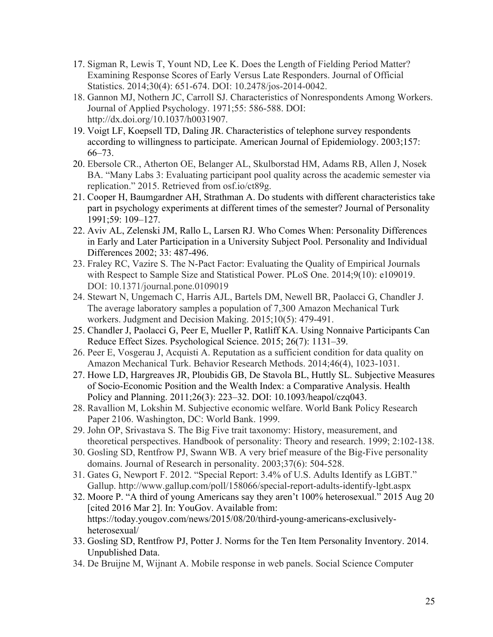- 17. Sigman R, Lewis T, Yount ND, Lee K. Does the Length of Fielding Period Matter? Examining Response Scores of Early Versus Late Responders. Journal of Official Statistics. 2014;30(4): 651-674. DOI: 10.2478/jos-2014-0042.
- 18. Gannon MJ, Nothern JC, Carroll SJ. Characteristics of Nonrespondents Among Workers. Journal of Applied Psychology. 1971;55: 586-588. DOI: http://dx.doi.org/10.1037/h0031907.
- 19. Voigt LF, Koepsell TD, Daling JR. Characteristics of telephone survey respondents according to willingness to participate. American Journal of Epidemiology. 2003;157: 66–73.
- 20. Ebersole CR., Atherton OE, Belanger AL, Skulborstad HM, Adams RB, Allen J, Nosek BA. "Many Labs 3: Evaluating participant pool quality across the academic semester via replication." 2015. Retrieved from osf.io/ct89g.
- 21. Cooper H, Baumgardner AH, Strathman A. Do students with different characteristics take part in psychology experiments at different times of the semester? Journal of Personality 1991;59: 109–127.
- 22. Aviv AL, Zelenski JM, Rallo L, Larsen RJ. Who Comes When: Personality Differences in Early and Later Participation in a University Subject Pool. Personality and Individual Differences 2002; 33: 487-496.
- 23. Fraley RC, Vazire S. The N-Pact Factor: Evaluating the Quality of Empirical Journals with Respect to Sample Size and Statistical Power. PLoS One. 2014;9(10): e109019. DOI: 10.1371/journal.pone.0109019
- 24. Stewart N, Ungemach C, Harris AJL, Bartels DM, Newell BR, Paolacci G, Chandler J. The average laboratory samples a population of 7,300 Amazon Mechanical Turk workers. Judgment and Decision Making. 2015;10(5): 479-491.
- 25. Chandler J, Paolacci G, Peer E, Mueller P, Ratliff KA. Using Nonnaive Participants Can Reduce Effect Sizes. Psychological Science. 2015; 26(7): 1131–39.
- 26. Peer E, Vosgerau J, Acquisti A. Reputation as a sufficient condition for data quality on Amazon Mechanical Turk. Behavior Research Methods. 2014;46(4), 1023-1031.
- 27. Howe LD, Hargreaves JR, Ploubidis GB, De Stavola BL, Huttly SL. Subjective Measures of Socio-Economic Position and the Wealth Index: a Comparative Analysis. Health Policy and Planning. 2011;26(3): 223–32. DOI: 10.1093/heapol/czq043.
- 28. Ravallion M, Lokshin M. Subjective economic welfare. World Bank Policy Research Paper 2106. Washington, DC: World Bank. 1999.
- 29. John OP, Srivastava S. The Big Five trait taxonomy: History, measurement, and theoretical perspectives. Handbook of personality: Theory and research. 1999; 2:102-138.
- 30. Gosling SD, Rentfrow PJ, Swann WB. A very brief measure of the Big-Five personality domains. Journal of Research in personality. 2003;37(6): 504-528.
- 31. Gates G, Newport F. 2012. "Special Report: 3.4% of U.S. Adults Identify as LGBT." Gallup. http://www.gallup.com/poll/158066/special-report-adults-identify-lgbt.aspx
- 32. Moore P. "A third of young Americans say they aren't 100% heterosexual." 2015 Aug 20 [cited 2016 Mar 2]. In: YouGov. Available from: https://today.yougov.com/news/2015/08/20/third-young-americans-exclusivelyheterosexual/
- 33. Gosling SD, Rentfrow PJ, Potter J. Norms for the Ten Item Personality Inventory. 2014. Unpublished Data.
- 34. De Bruijne M, Wijnant A. Mobile response in web panels. Social Science Computer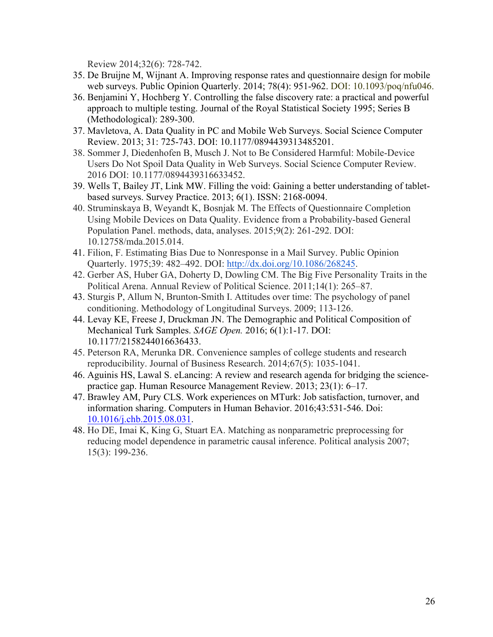Review 2014;32(6): 728-742.

- 35. De Bruijne M, Wijnant A. Improving response rates and questionnaire design for mobile web surveys. Public Opinion Quarterly. 2014; 78(4): 951-962. DOI: 10.1093/poq/nfu046.
- 36. Benjamini Y, Hochberg Y. Controlling the false discovery rate: a practical and powerful approach to multiple testing. Journal of the Royal Statistical Society 1995; Series B (Methodological): 289-300.
- 37. Mavletova, A. Data Quality in PC and Mobile Web Surveys. Social Science Computer Review. 2013; 31: 725-743. DOI: 10.1177/0894439313485201.
- 38. Sommer J, Diedenhofen B, Musch J. Not to Be Considered Harmful: Mobile-Device Users Do Not Spoil Data Quality in Web Surveys. Social Science Computer Review. 2016 DOI: 10.1177/0894439316633452.
- 39. Wells T, Bailey JT, Link MW. Filling the void: Gaining a better understanding of tabletbased surveys. Survey Practice. 2013; 6(1). ISSN: 2168-0094.
- 40. Struminskaya B, Weyandt K, Bosnjak M. The Effects of Questionnaire Completion Using Mobile Devices on Data Quality. Evidence from a Probability-based General Population Panel. methods, data, analyses. 2015;9(2): 261-292. DOI: 10.12758/mda.2015.014.
- 41. Filion, F. Estimating Bias Due to Nonresponse in a Mail Survey. Public Opinion Quarterly. 1975;39: 482–492. DOI: http://dx.doi.org/10.1086/268245.
- 42. Gerber AS, Huber GA, Doherty D, Dowling CM. The Big Five Personality Traits in the Political Arena. Annual Review of Political Science. 2011;14(1): 265–87.
- 43. Sturgis P, Allum N, Brunton-Smith I. Attitudes over time: The psychology of panel conditioning. Methodology of Longitudinal Surveys. 2009; 113-126.
- 44. Levay KE, Freese J, Druckman JN. The Demographic and Political Composition of Mechanical Turk Samples. *SAGE Open.* 2016; 6(1):1-17. DOI: 10.1177/2158244016636433.
- 45. Peterson RA, Merunka DR. Convenience samples of college students and research reproducibility. Journal of Business Research. 2014;67(5): 1035-1041.
- 46. Aguinis HS, Lawal S. eLancing: A review and research agenda for bridging the sciencepractice gap. Human Resource Management Review. 2013; 23(1): 6–17.
- 47. Brawley AM, Pury CLS. Work experiences on MTurk: Job satisfaction, turnover, and information sharing. Computers in Human Behavior. 2016;43:531-546. Doi: 10.1016/j.chb.2015.08.031.
- 48. Ho DE, Imai K, King G, Stuart EA. Matching as nonparametric preprocessing for reducing model dependence in parametric causal inference. Political analysis 2007; 15(3): 199-236.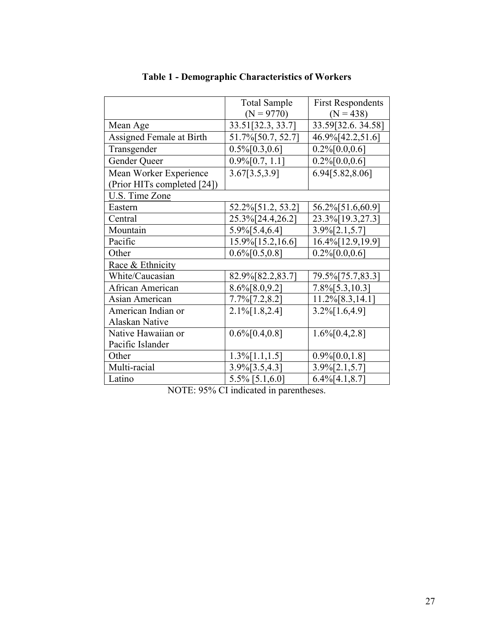|                             | <b>Total Sample</b>        | <b>First Respondents</b> |
|-----------------------------|----------------------------|--------------------------|
|                             | $(N = 9770)$               | $(N = 438)$              |
| Mean Age                    | 33.51[32.3, 33.7]          | 33.59[32.6.34.58]        |
| Assigned Female at Birth    | 51.7% [50.7, 52.7]         | 46.9% [42.2,51.6]        |
| Transgender                 | $0.5\%$ [0.3,0.6]          | $0.2\%$ [0.0,0.6]        |
| Gender Queer                | $0.9\frac{6}{0.7}$ , 1.1]  | $0.2\%$ [0.0,0.6]        |
| Mean Worker Experience      | 3.67[3.5,3.9]              | 6.94[5.82,8.06]          |
| (Prior HITs completed [24]) |                            |                          |
| U.S. Time Zone              |                            |                          |
| Eastern                     | 52.2%[51.2, 53.2]          | 56.2%[51.6,60.9]         |
| Central                     | 25.3% [24.4, 26.2]         | 23.3% [19.3, 27.3]       |
| Mountain                    | $5.9\%$ [5.4,6.4]          | $3.9\frac{6}{2}.1,5.7$   |
| Pacific                     | 15.9% [15.2, 16.6]         | 16.4% [12.9, 19.9]       |
| Other                       | $0.6\frac{6}{6}$ [0.5,0.8] | $0.2\%$ [0.0,0.6]        |
| Race & Ethnicity            |                            |                          |
| White/Caucasian             | 82.9% [82.2, 83.7]         | 79.5% [75.7,83.3]        |
| African American            | $8.6\frac{6}{8}$ [8.0,9.2] | $7.8\%$ [5.3,10.3]       |
| Asian American              | $7.7\%$ [7.2,8.2]          | 11.2%[8.3,14.1]          |
| American Indian or          | $2.1\%$ [1.8,2.4]          | $3.2\%$ [1.6,4.9]        |
| Alaskan Native              |                            |                          |
| Native Hawaiian or          | $0.6\%$ [0.4,0.8]          | $1.6\%$ [0.4,2.8]        |
| Pacific Islander            |                            |                          |
| Other                       | $1.3\%$ [1.1,1.5]          | $0.9\frac{6}{0.0,1.8}$   |
| Multi-racial                | $3.9\frac{6}{3.5,4.3}$     | $3.9\frac{6}{2}.1,5.7$   |
| Latino                      | $5.5\%$ [5.1,6.0]          | $6.4\%$ [4.1,8.7]        |

# **Table 1 - Demographic Characteristics of Workers**

NOTE: 95% CI indicated in parentheses.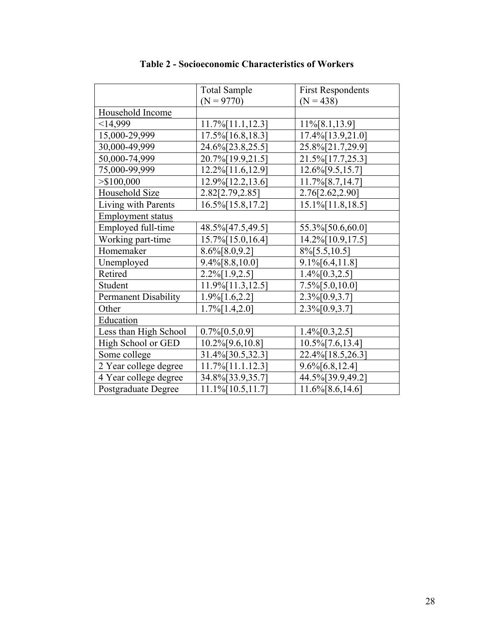|                            | <b>Total Sample</b>   | <b>First Respondents</b>  |  |  |  |  |
|----------------------------|-----------------------|---------------------------|--|--|--|--|
|                            | $(N = 9770)$          | $(N = 438)$               |  |  |  |  |
| Household Income           |                       |                           |  |  |  |  |
| <14,999                    | 11.7% [11.1, 12.3]    | 11%[8.1,13.9]             |  |  |  |  |
| 15,000-29,999              | 17.5% [16.8, 18.3]    | 17.4% [13.9,21.0]         |  |  |  |  |
| 30,000-49,999              | 24.6%[23.8,25.5]      | 25.8%[21.7,29.9]          |  |  |  |  |
| 50,000-74,999              | 20.7% [19.9, 21.5]    | 21.5% [17.7,25.3]         |  |  |  |  |
| 75,000-99,999              | 12.2%[11.6,12.9]      | $12.6\%$ [9.5,15.7]       |  |  |  |  |
| $>$ \$100,000              | $12.9\%$ [12.2,13.6]  | $11.7\%$ [8.7,14.7]       |  |  |  |  |
| Household Size             | 2.82[2.79,2.85]       | 2.76[2.62,2.90]           |  |  |  |  |
| Living with Parents        | 16.5% [15.8, 17.2]    | 15.1%[11.8,18.5]          |  |  |  |  |
| <b>Employment status</b>   |                       |                           |  |  |  |  |
| Employed full-time         | 48.5%[47.5,49.5]      | 55.3%[50.6,60.0]          |  |  |  |  |
| Working part-time          | 15.7% [15.0, 16.4]    | 14.2%[10.9,17.5]          |  |  |  |  |
| Homemaker                  | $8.6\%$ [ $8.0,9.2$ ] | $8\frac{6}{5}$ 5.5, 10.5] |  |  |  |  |
| Unemployed                 | $9.4\%$ [8.8,10.0]    | $9.1\%$ [6.4,11.8]        |  |  |  |  |
| Retired                    | $2.2\%$ [1.9,2.5]     | $1.4\%$ [0.3,2.5]         |  |  |  |  |
| Student                    | 11.9% [11.3, 12.5]    | $7.5\%$ [5.0,10.0]        |  |  |  |  |
| Permanent Disability       | $1.9\%$ [1.6,2.2]     | $2.3\%(0.9,3.7)$          |  |  |  |  |
| Other                      | $1.7\%$ [1.4,2.0]     | $2.3\%$ [0.9,3.7]         |  |  |  |  |
| Education                  |                       |                           |  |  |  |  |
| Less than High School      | $0.7\%$ [0.5,0.9]     | $1.4\%$ [0.3,2.5]         |  |  |  |  |
| High School or GED         | $10.2\%$ [9.6,10.8]   | $10.5\%$ [7.6,13.4]       |  |  |  |  |
| Some college               | 31.4%[30.5,32.3]      | 22.4% [18.5, 26.3]        |  |  |  |  |
| 2 Year college degree      | 11.7%[11.1.12.3]      | $9.6\%$ [6.8,12.4]        |  |  |  |  |
| 4 Year college degree      | 34.8%[33.9,35.7]      | 44.5%[39.9,49.2]          |  |  |  |  |
| <b>Postgraduate Degree</b> | 11.1%[10.5,11.7]      | $11.6\%$ [8.6,14.6]       |  |  |  |  |

**Table 2 - Socioeconomic Characteristics of Workers**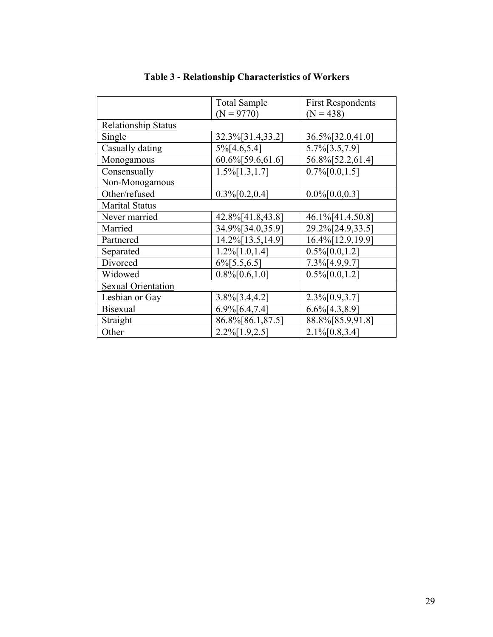|                            | <b>Total Sample</b>      | <b>First Respondents</b> |  |  |  |  |  |
|----------------------------|--------------------------|--------------------------|--|--|--|--|--|
|                            | $(N = 9770)$             | $(N = 438)$              |  |  |  |  |  |
| <b>Relationship Status</b> |                          |                          |  |  |  |  |  |
| Single                     | 32.3%[31.4,33.2]         | 36.5%[32.0,41.0]         |  |  |  |  |  |
| Casually dating            | $5\%$ [4.6,5.4]          | 5.7%[3.5,7.9]            |  |  |  |  |  |
| Monogamous                 | 60.6% [59.6, 61.6]       | 56.8% [52.2, 61.4]       |  |  |  |  |  |
| Consensually               | $1.5\%$ [1.3,1.7]        | $0.7\%$ [0.0,1.5]        |  |  |  |  |  |
| Non-Monogamous             |                          |                          |  |  |  |  |  |
| Other/refused              | $0.3\%$ [0.2,0.4]        | $0.0\%[0.0,0.3]$         |  |  |  |  |  |
| <b>Marital Status</b>      |                          |                          |  |  |  |  |  |
| Never married              | 42.8%[41.8,43.8]         | 46.1%[41.4,50.8]         |  |  |  |  |  |
| Married                    | 34.9%[34.0,35.9]         | 29.2%[24.9,33.5]         |  |  |  |  |  |
| Partnered                  | 14.2% [13.5, 14.9]       | 16.4% [12.9, 19.9]       |  |  |  |  |  |
| Separated                  | $1.2\%$ [1.0,1.4]        | $0.5\%$ [0.0,1.2]        |  |  |  |  |  |
| Divorced                   | $6\frac{6}{5}$ 5.5, 6.5] | $7.3\frac{6}{4.9,9.7}$   |  |  |  |  |  |
| Widowed                    | $0.8\%$ [0.6,1.0]        | $0.5\%$ [0.0,1.2]        |  |  |  |  |  |
| <b>Sexual Orientation</b>  |                          |                          |  |  |  |  |  |
| Lesbian or Gay             | $3.8\%$ [3.4,4.2]        | $2.3\%$ [0.9,3.7]        |  |  |  |  |  |
| <b>Bisexual</b>            | $6.9\frac{6}{6}.4,7.4$   | $6.6\%$ [4.3,8.9]        |  |  |  |  |  |
| Straight                   | 86.8%[86.1,87.5]         | 88.8%[85.9,91.8]         |  |  |  |  |  |
| Other                      | $2.2\%$ [1.9,2.5]        | $2.1\%$ [0.8,3.4]        |  |  |  |  |  |

# **Table 3 - Relationship Characteristics of Workers**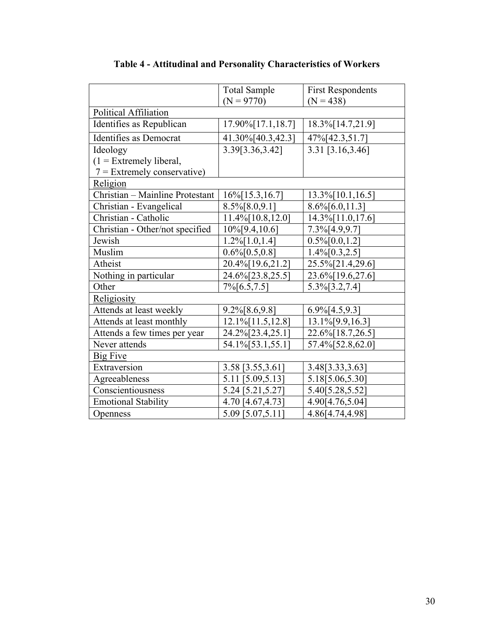|                                 | <b>Total Sample</b><br>$(N = 9770)$ | <b>First Respondents</b><br>$(N = 438)$ |  |  |  |  |
|---------------------------------|-------------------------------------|-----------------------------------------|--|--|--|--|
| Political Affiliation           |                                     |                                         |  |  |  |  |
| Identifies as Republican        | 17.90% [17.1, 18.7]                 | 18.3% [14.7,21.9]                       |  |  |  |  |
| Identifies as Democrat          | 41.30%[40.3,42.3]                   | 47%[42.3,51.7]                          |  |  |  |  |
| Ideology                        | 3.39[3.36,3.42]                     | 3.31 [3.16,3.46]                        |  |  |  |  |
| $(1)$ = Extremely liberal,      |                                     |                                         |  |  |  |  |
| $7$ = Extremely conservative)   |                                     |                                         |  |  |  |  |
| Religion                        |                                     |                                         |  |  |  |  |
| Christian - Mainline Protestant | $16\%$ [15.3,16.7]                  | 13.3% [10.1, 16.5]                      |  |  |  |  |
| Christian - Evangelical         | 8.5%[8.0,9.1]                       | $8.6\%$ [6.0,11.3]                      |  |  |  |  |
| Christian - Catholic            | $11.4\%$ [10.8,12.0]                | 14.3% [11.0, 17.6]                      |  |  |  |  |
| Christian - Other/not specified | $10\%$ [9.4,10.6]                   | 7.3%[4.9,9.7]                           |  |  |  |  |
| Jewish                          | $1.2\%$ [1.0,1.4]                   | $0.5\%$ [0.0,1.2]                       |  |  |  |  |
| Muslim                          | $0.6\%$ [0.5,0.8]                   | $1.4\%$ [0.3,2.5]                       |  |  |  |  |
| Atheist                         | 20.4%[19.6,21.2]                    | 25.5%[21.4,29.6]                        |  |  |  |  |
| Nothing in particular           | 24.6%[23.8,25.5]                    | 23.6%[19.6,27.6]                        |  |  |  |  |
| Other                           | $7\%$ [6.5,7.5]                     | $5.3\%$ [3.2,7.4]                       |  |  |  |  |
| Religiosity                     |                                     |                                         |  |  |  |  |
| Attends at least weekly         | $9.2\% [8.6, 9.8]$                  | $6.9\frac{6}{14.5,9.3}$                 |  |  |  |  |
| Attends at least monthly        | 12.1% [11.5, 12.8]                  | 13.1%[9.9,16.3]                         |  |  |  |  |
| Attends a few times per year    | 24.2%[23.4,25.1]                    | 22.6% [18.7, 26.5]                      |  |  |  |  |
| Never attends                   | 54.1%[53.1,55.1]                    | 57.4% [52.8, 62.0]                      |  |  |  |  |
| <b>Big Five</b>                 |                                     |                                         |  |  |  |  |
| Extraversion                    | 3.58 [3.55,3.61]                    | 3.48[3.33,3.63]                         |  |  |  |  |
| Agreeableness                   | 5.11 [5.09,5.13]                    | 5.18[5.06,5.30]                         |  |  |  |  |
| Conscientiousness               | 5.24 [5.21,5.27]                    | 5.40 [5.28, 5.52]                       |  |  |  |  |
| <b>Emotional Stability</b>      | 4.70 [4.67,4.73]                    | 4.90[4.76,5.04]                         |  |  |  |  |
| Openness                        | 5.09 [5.07,5.11]                    | 4.86[4.74,4.98]                         |  |  |  |  |

**Table 4 - Attitudinal and Personality Characteristics of Workers**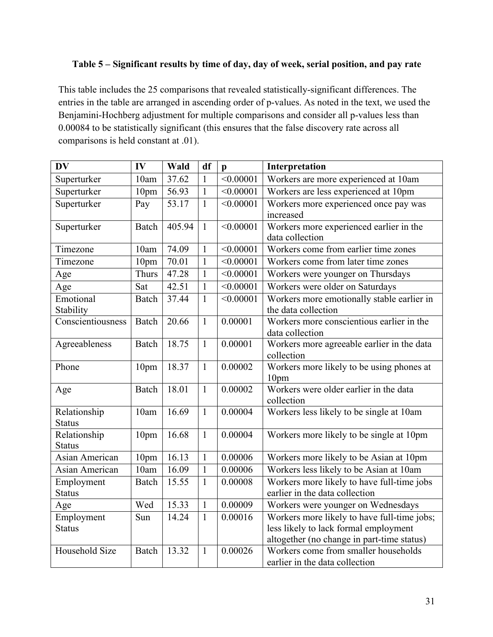## **Table 5 – Significant results by time of day, day of week, serial position, and pay rate**

This table includes the 25 comparisons that revealed statistically-significant differences. The entries in the table are arranged in ascending order of p-values. As noted in the text, we used the Benjamini-Hochberg adjustment for multiple comparisons and consider all p-values less than 0.00084 to be statistically significant (this ensures that the false discovery rate across all comparisons is held constant at .01).

| $\overline{\mathbf{D}}\mathbf{V}$ | IV               | <b>Wald</b> | df           | $\mathbf{p}$ | Interpretation                                                                                                                     |
|-----------------------------------|------------------|-------------|--------------|--------------|------------------------------------------------------------------------------------------------------------------------------------|
| Superturker                       | 10am             | 37.62       | $\mathbf{1}$ | < 0.00001    | Workers are more experienced at 10am                                                                                               |
| Superturker                       | 10pm             | 56.93       | $\mathbf{1}$ | < 0.00001    | Workers are less experienced at 10pm                                                                                               |
| Superturker                       | Pay              | 53.17       | $\mathbf{1}$ | < 0.00001    | Workers more experienced once pay was<br>increased                                                                                 |
| Superturker                       | Batch            | 405.94      | $\mathbf{1}$ | < 0.00001    | Workers more experienced earlier in the<br>data collection                                                                         |
| Timezone                          | 10am             | 74.09       | $\mathbf{1}$ | < 0.00001    | Workers come from earlier time zones                                                                                               |
| Timezone                          | 10 <sub>pm</sub> | 70.01       | $\mathbf{1}$ | < 0.00001    | Workers come from later time zones                                                                                                 |
| Age                               | Thurs            | 47.28       | $\mathbf{1}$ | < 0.00001    | Workers were younger on Thursdays                                                                                                  |
| Age                               | Sat              | 42.51       | $\mathbf{1}$ | < 0.00001    | Workers were older on Saturdays                                                                                                    |
| Emotional<br>Stability            | Batch            | 37.44       | $\mathbf{1}$ | < 0.00001    | Workers more emotionally stable earlier in<br>the data collection                                                                  |
| Conscientiousness                 | <b>Batch</b>     | 20.66       | $\mathbf{1}$ | 0.00001      | Workers more conscientious earlier in the<br>data collection                                                                       |
| Agreeableness                     | Batch            | 18.75       | $\mathbf{1}$ | 0.00001      | Workers more agreeable earlier in the data<br>collection                                                                           |
| Phone                             | 10pm             | 18.37       | $\mathbf{1}$ | 0.00002      | Workers more likely to be using phones at<br>10pm                                                                                  |
| Age                               | <b>Batch</b>     | 18.01       | $\mathbf{1}$ | 0.00002      | Workers were older earlier in the data<br>collection                                                                               |
| Relationship<br><b>Status</b>     | 10am             | 16.69       | $\mathbf{1}$ | 0.00004      | Workers less likely to be single at 10am                                                                                           |
| Relationship<br><b>Status</b>     | 10pm             | 16.68       | $\mathbf{1}$ | 0.00004      | Workers more likely to be single at 10pm                                                                                           |
| Asian American                    | 10pm             | 16.13       | $\mathbf{1}$ | 0.00006      | Workers more likely to be Asian at 10pm                                                                                            |
| <b>Asian American</b>             | 10am             | 16.09       | $\mathbf{1}$ | 0.00006      | Workers less likely to be Asian at 10am                                                                                            |
| Employment                        | <b>Batch</b>     | 15.55       | $\mathbf{1}$ | 0.00008      | Workers more likely to have full-time jobs                                                                                         |
| <b>Status</b>                     |                  |             |              |              | earlier in the data collection                                                                                                     |
| Age                               | Wed              | 15.33       | $\mathbf{1}$ | 0.00009      | Workers were younger on Wednesdays                                                                                                 |
| Employment<br><b>Status</b>       | Sun              | 14.24       | $\mathbf{1}$ | 0.00016      | Workers more likely to have full-time jobs;<br>less likely to lack formal employment<br>altogether (no change in part-time status) |
| Household Size                    | <b>Batch</b>     | 13.32       | $\mathbf{1}$ | 0.00026      | Workers come from smaller households<br>earlier in the data collection                                                             |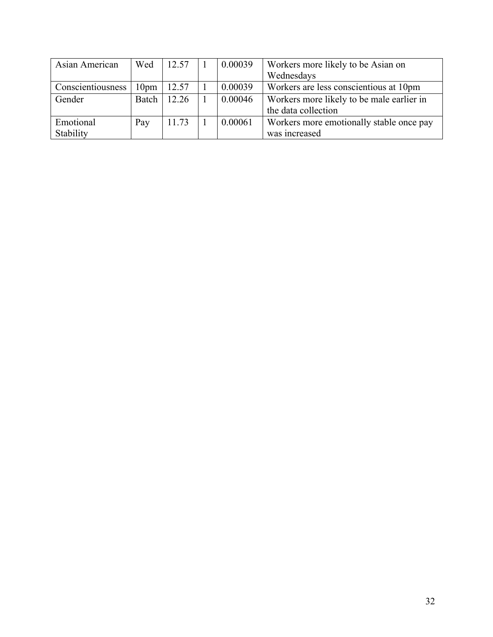| Asian American    | Wed              | 12.57 | 0.00039 | Workers more likely to be Asian on        |
|-------------------|------------------|-------|---------|-------------------------------------------|
|                   |                  |       |         | Wednesdays                                |
| Conscientiousness | 10 <sub>pm</sub> | 12.57 | 0.00039 | Workers are less conscientious at 10pm    |
| Gender            | Batch            | 12.26 | 0.00046 | Workers more likely to be male earlier in |
|                   |                  |       |         | the data collection                       |
| Emotional         | Pay              | 11.73 | 0.00061 | Workers more emotionally stable once pay  |
| Stability         |                  |       |         | was increased                             |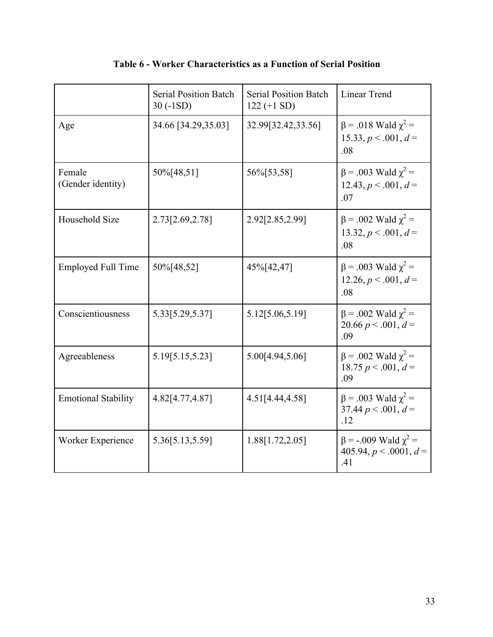|                             | <b>Serial Position Batch</b><br>$30(-1SD)$ | <b>Serial Position Batch</b><br>$122 (+1 SD)$ | <b>Linear Trend</b>                                                   |
|-----------------------------|--------------------------------------------|-----------------------------------------------|-----------------------------------------------------------------------|
| Age                         | 34.66 [34.29,35.03]                        | 32.99[32.42,33.56]                            | $\beta$ = .018 Wald $\chi^2$ =<br>15.33, $p < .001$ , $d =$<br>.08    |
| Female<br>(Gender identity) | 50%[48,51]                                 | 56%[53,58]                                    | $\beta$ = .003 Wald $\chi^2$ =<br>12.43, $p < .001$ , $d =$<br>.07    |
| Household Size              | 2.73[2.69,2.78]                            | 2.92[2.85,2.99]                               | $\beta$ = .002 Wald $\gamma^2$ =<br>13.32, $p < .001$ , $d =$<br>.08  |
| <b>Employed Full Time</b>   | 50%[48,52]                                 | 45%[42,47]                                    | $\beta$ = .003 Wald $\chi^2$ =<br>$12.26, p < .001, d =$<br>.08       |
| Conscientiousness           | 5.33[5.29,5.37]                            | 5.12[5.06,5.19]                               | $\beta$ = .002 Wald $\chi^2$ =<br>20.66 $p < .001$ , $d =$<br>.09     |
| Agreeableness               | 5.19[5.15,5.23]                            | 5.00[4.94,5.06]                               | $\beta$ = .002 Wald $\gamma^2$ =<br>18.75 $p < .001$ , $d =$<br>.09   |
| <b>Emotional Stability</b>  | 4.82[4.77,4.87]                            | 4.51[4.44,4.58]                               | $\beta$ = .003 Wald $\chi^2$ =<br>37.44 $p < .001$ , $d =$<br>.12     |
| Worker Experience           | 5.36[5.13,5.59]                            | 1.88[1.72,2.05]                               | $\beta$ = -.009 Wald $\chi^2$ =<br>405.94, $p < .0001$ , $d =$<br>.41 |

## **Table 6 - Worker Characteristics as a Function of Serial Position**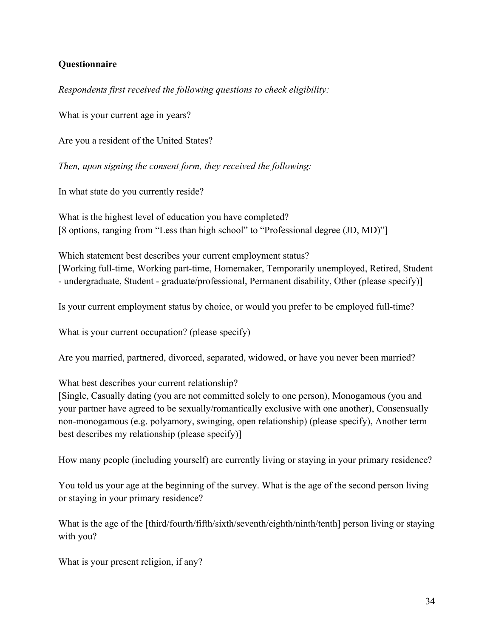## **Questionnaire**

*Respondents first received the following questions to check eligibility:*

What is your current age in years?

Are you a resident of the United States?

*Then, upon signing the consent form, they received the following:*

In what state do you currently reside?

What is the highest level of education you have completed? [8 options, ranging from "Less than high school" to "Professional degree (JD, MD)"]

Which statement best describes your current employment status? [Working full-time, Working part-time, Homemaker, Temporarily unemployed, Retired, Student - undergraduate, Student - graduate/professional, Permanent disability, Other (please specify)]

Is your current employment status by choice, or would you prefer to be employed full-time?

What is your current occupation? (please specify)

Are you married, partnered, divorced, separated, widowed, or have you never been married?

What best describes your current relationship?

[Single, Casually dating (you are not committed solely to one person), Monogamous (you and your partner have agreed to be sexually/romantically exclusive with one another), Consensually non-monogamous (e.g. polyamory, swinging, open relationship) (please specify), Another term best describes my relationship (please specify)]

How many people (including yourself) are currently living or staying in your primary residence?

You told us your age at the beginning of the survey. What is the age of the second person living or staying in your primary residence?

What is the age of the [third/fourth/fifth/sixth/seventh/eighth/ninth/tenth] person living or staying with you?

What is your present religion, if any?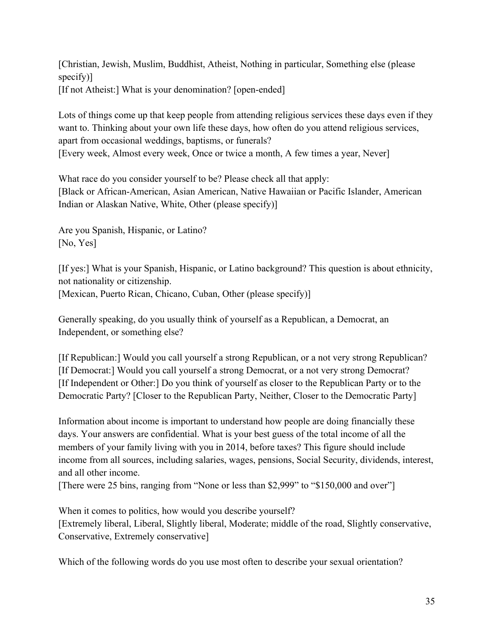[Christian, Jewish, Muslim, Buddhist, Atheist, Nothing in particular, Something else (please specify)] [If not Atheist:] What is your denomination? [open-ended]

Lots of things come up that keep people from attending religious services these days even if they want to. Thinking about your own life these days, how often do you attend religious services, apart from occasional weddings, baptisms, or funerals? [Every week, Almost every week, Once or twice a month, A few times a year, Never]

What race do you consider yourself to be? Please check all that apply: [Black or African-American, Asian American, Native Hawaiian or Pacific Islander, American Indian or Alaskan Native, White, Other (please specify)]

Are you Spanish, Hispanic, or Latino? [No, Yes]

[If yes:] What is your Spanish, Hispanic, or Latino background? This question is about ethnicity, not nationality or citizenship. [Mexican, Puerto Rican, Chicano, Cuban, Other (please specify)]

Generally speaking, do you usually think of yourself as a Republican, a Democrat, an Independent, or something else?

[If Republican:] Would you call yourself a strong Republican, or a not very strong Republican? [If Democrat:] Would you call yourself a strong Democrat, or a not very strong Democrat? [If Independent or Other:] Do you think of yourself as closer to the Republican Party or to the Democratic Party? [Closer to the Republican Party, Neither, Closer to the Democratic Party]

Information about income is important to understand how people are doing financially these days. Your answers are confidential. What is your best guess of the total income of all the members of your family living with you in 2014, before taxes? This figure should include income from all sources, including salaries, wages, pensions, Social Security, dividends, interest, and all other income.

[There were 25 bins, ranging from "None or less than \$2,999" to "\$150,000 and over"]

When it comes to politics, how would you describe yourself?

[Extremely liberal, Liberal, Slightly liberal, Moderate; middle of the road, Slightly conservative, Conservative, Extremely conservative]

Which of the following words do you use most often to describe your sexual orientation?